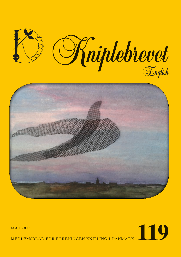

# MAJ 2015<br>MEDLEMSBLAD FOR FORENINGEN KNIPLING I DANMARK

MEDLEMSBLAD FOR FORENINGEN KNIPLING I DANMARK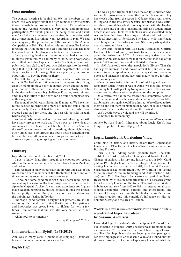# **Dear members**

The Annual meeting is behind us. We, the members of the board, are very happy about the high number of participants, it was overwhelming. We were no less than 145 members attending the Annual Meeting, a very large and impressive participation. We thank you all for being there, and thank you for all the nice comments we received in connection with the arrangement. Everything went according to plan. We had one delay only, the presentation of the winner of the Annual Competition in 2014. That had to wait until dinner. We had not foreseen that Kim Sjøgren sold cd's, and that he did! The long line took time. But he also gave a fantastic performance.

I also give a big thank you to everybody that had a stand and to all the exhibitors. We had many of both. Both workshops were filled, and this happened short after Kniplebrevet was published. I am glad to tell you, who did not get into the workshop, that Inge Lindegaard has donated the pattern she used in class to us, to be sold through Knipleshoppen, so you have an opportunity to buy the patterns there.

The talk by Inger Lauridsen from Tønder Kunstmuseum was a hit. We had about 100 members listening to this exciting class. 79 members stayed for the dinner, which ended the program, and 45 of these participated in the lace activity – so late in the day –which was a big challenge. Pictures, texts, minutes and the constitution of the board can be found someplace else in this magazine.

The annual bobbin was sold out in 45 minutes. We have therefore decided to order some more of them, but still a limited number only. These will first be sent to the ones, who have ordered and paid for them, and the rest will be sold through Knipleshoppen.

As previously mentioned on the Annual Meeting, we still have many projects to work on. If you however, have ideas or comments for us, please, do not hesitate to write us. Some of the stuff we can answer and do something about right away, other things has to go through the board before something can be done, but everything is welcome, so, please, contact us.

We wish you all a good spring and a nice summer.

#### **Obituary**

Inga Madsen died on December 31st, 2014

I got to know Inga, first through the cooperation group, which in the nineties had members both from Funen, Zealand and Lolland.

This resulted in many good travel hours with Inga. Later on, we became board members of the Bobbinlace Guild, and our time commuting together became even longer.

But we had some good meetings. Once I persuaded Inga to come along to a class on Thy Landbrugsskole, in order to participate in Karpenko's class. It was a new experience for Inga to make Russian bobbinlace, but she enjoyed it. Inga was known for her pretty runners. One year they were on exhibition on the bobbinlace-festival in Tønder.

She was a good pattern - designer, her patterns are still in use today. She taught me to tie-off with knots. Her patience and knowledge was great, I went to Skårup for help a few times. I am certain that she was also very patient with her students.

All honour to her memory .

*Solvejg Østergaard Nielsen*

#### **In memoriam Ann Bytoft (1941-2015)**

Ann was in many years a member of Knipling i Danmark because one of her main interests was lace.

She was a good friend of the lace maker Jytte Nielsen who was in the association's committee in the beginning. They knew each other from the scouts in Odense. When Ann moved to England in the late 1960s because her husband was stationed there through his job, she got acquainted with the English form of lace and got lots of inspiration. Ann also taught others how to make lace. Her kitchen table classes, as she called them, Anders benefited from. He a loyal student and took part of the local meetings in Ferritslev. She had a wide knowledge of technique and the history of lace. She also participated in many courses and lace trips.

In 1995 Ann together with Lise Lene Rasmussen, Gertrud Egelund, Elin Cordi and yours truly founded Ferritslev local group that existed until 2011. Ann was very active in all the meetings. Ann also made show that on the first lace day of the year in 1995 an event was held in Ferritslev, Funen.

In 1999 Ann took over the association's library. That she had a great interest in and looked after it till June 2005. You never returned empty-handed if you had questions concerning books and magazines about lave. Ann gladly looked for information everywhere.

When the association inherited lots of pricking and lace patterns from Lucie Krebs, it was at Ann's we met and covered the dining table with pricking to organise them in themes. Ann made sure that they were all registered on the computer.

On a festical we had in the assocation's committee decided that the Japanese dress the association had received should be exhibited so they again would be admired. Who offered to iron them all and put them on mannequins? Ann, of course, and she also looked after the dresses during the festival.

Ann's death leaves a void and she will be missed.

All honour to her memory

*Karen Vontillius, Odense*

Article by Ann Bytoft: Inherance about Lucie Kreb's lace things. Kniplebrevet issue 70 pages 6-7

#### **Ingrid Lauridsen's Curriculum Vitae.**

Cand. mag. in history and history of art from Copenhagen University in 1984. Earlier, teacher of history and visual art on Bording Friskole.

Born 1944 in Rødding parish, graduate from Ribe katedralskole in 1964. Study of archeology and Nordic folklore. Change of subject to history and history of art in 1974. Cand. phil. in 1981, highschool teacher at Øregård Gymnasium. Finishing her university degree in 1984, teaching at Bagsværd Socialpædagogiske Seminarium 1983-89. Curator for Tønder Museum (now: Museum Sønderjylland Kulturhistorie Tønder) until 2010. Employed for a two year period as Senior Researcher by Museum Sønderjylland on a research grand from Carlsberg Fondet, on the topic: 'The history of Tønder's bobbinlace industry from 1600 to 1864, its international background, economical impact national and international and the social history concerning the bobbinlace maker's life and working situation and this condition's influence on Hertugdømmet Slesvig and the area of Tønder.'

# **'Work in a museum – notwork, but a way of life – a portrait of Inger Lauridsen' by Susanne Andersen**

I attended Inger Lauridsen's talk at Knipling i Danmark's annual meeting in Fraugde , 2010. The topic was ''Bobbinlace and its renaissance''. This was the first time I heard Inger Lauridsen ''live'', but happily not the last. Inger gave the opening speech for Kniplingfestivalen that same year, and I found out that she was a woman, not afraid of speaking her mind, what she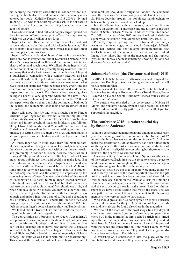did, scorning the business association in Tønder for not supporting the bobbinlace festival enough. I have also very much enjoyed her book ''Kathrine Thuesen (1918-2009)-et liv med knipling''. But who is she, this big enthusiast? It is not hard to realize for what Inger used her working hours, but what has kept her going?

I was determined to find out, and happily, Inger opened her door for me and offered me a cup of coffee a Tuesday morning, which was an event I will not soon forget.

Inger sat in her office on the first floor when I arrived, lost to the world, and as her husband said, when he let me in, '' She has probably fallen over something, which makes her forget time and place'', and so it was.

Inger's office is a 'land of bounty' for a history teacher. There are books everywhere, about Denmark's history, North Slesvig's history focused on 1864 and the reunion, bobbinlace, history of art and much more. We talked about Inger's work on her book, of course, it is presently being reviewed, and we are many that really look forward to its publication. I hope it is published in connection with a summer vacation, as I am sure, it will be difficult to put it down once you start reading. It becomes apparent more times during our conversation, what gives Inger her spark, her voice becomes angry every time the conditions of the lacemaking girls are mentioned, and the disrespect for their hard work. That these ladies have a big place in Inger's heart, is very apparent when she exclaims ' they were the most professional of handcrafters in the 1700, and no respect were shown them', and she continues to badmouth the dealers and merchants over their poor treatment of the lacemakers.

Inger tells about her life and what brought her to Tønder Museum, a job Inger replies, 'was not a job, but my life', but before this, she studied history and history of art, taught highschool and future preschool teachers in history and folklore. She got two children, Mads and Vibe, with her partner, Hans Christian and learned to be a mother with good and bad, practiced in letting them live their own lives, understanding to let go as parents, so her children could develop as individual people.

At times, Inger had to stray away from the planned path, like sorting mail and being a mailman. Her goal, however, was the whole time to get employment within the museum world, and preferably in Tønder Museum, because 'that's where I belonged'. The possibility came in 1989. Inger did not know much about bobbinlace then, and could not make lace. 'But what I do not know, I can learn' was Inger's motto – and who else than Kathrine Thuesen should be her teacher? It took some time to convince Kathrine to take Inger as a student, but not only the court and the county are impressed by the convincing power of Inger. She met up at Kathrine's house and got 'Denmark's little heart' to make. Inger uttered surprised, if she should not start with 'Eternellen', but Kathrine answered 'Are you not and adult woman? You should start this, and when you have done two meters, you may get a new pattern', so, that's what Inger did. In the end Kathrine thought it was enough, and invited Inger for a cup of coffee and a chat. Inger has, of course, a beautiful, old Tønderskrin in her office, and through layers of paint, one can read the number 1792. One feels respect in Inger's voice when she shows us Tønderskrinet.

We talked about 'Drøhses Hus' and the work on the restoring of the house and the lacegarden.

The conversation also brought us to Queen Alexandrine's lace pillow and lace equipment with about 80 old bobbins, now located at Museum Sønderjylland, and how it came to Tønder. In this instance, Inger shows how clever she is, because as it had to be brought from Copenhagen to Tønder, and His Royal Highness, Prince Joachim, travelled regularly to Schackenborg, ' he could as well take it with him to Schackenborg'. This amused the court, and when Queen Ingrid's beautiful handkerchiefs should be brought to Tønder, the comment from the court was: 'we know how you would like it delivered'. So, Prince Joachim brought the bobbinlace handkerchiefs to Schackenborg, where it could be picked up.

In spite of being busy with her research, Inger found time to prepare an exhibition, 'Tønderlace and the history of the lace trade' at State Pushkin Museum in Moscow from December 7th, 2011 till January 31st, 2012 and on Pawlovsk Paladsmuseum by St. Petersborg from March 6th until July 31st, 2012.

Presently, Inger is getting used to retirement. She enjoys walks on the levies, yoga, her articles in 'Sønderjysk Månedskrift' her lectures and her thoughts about publishing new books, however not as comprehensive as the last one. I asked Inger, if she missed her job at the museum, and she replied: 'yes, but in the way one miss something, knowing that one has done one's best and enjoyed it'.

# **Julemærkefonden (the Christmas seal fund) 2015**

In 2015 Helle Schultz from North West Zealand designed the pattern for Knipling i Danmark that gives the sum of the sell to Julemærkefonden.

Helle has made lace since 2003, and in 2013 she finished her lace teacher training in Horsens at Karen Trend Nissen, Bente Eskerod og Helene Schou. Helle now teaches four classes at LOF around Zealand.

The pattern was revealed at the conference in Nyborg 14 March, and you have already given it a good reception. Thanks Helle for donating the pretty pattern, and thanks all of you for supporting the tradition.

# **The conference 2015 – a rather special day by Susanne Andersen**

To hold a conference demands planning and in an anniversary year the planning must be done more careful. In the past 12 months the board has worked on the conference 2015. How to mark the association's 30th anniversary has been a fixed item on the agenda for the past several meetings, and at the time of writing I allow myself, without committing hubris, to say on the behalf of the board: 'It was not too bad'.

Once again Borgerforeningens Hus in Nyborg was the scene of the conference. Each time we are going to choose a place to hold the conference, we weight up the pros and cons, and again Borgerforeningens Hus offered the most pros.

However, before we got that far there were many things we had to clarify, and one of the most important once was the gift for the participants. An idea began to grow and Karen Marie Iversen once again took on the invaluable task for Knipling i Danmark. The participants saw the result on the conference and the rest of you can see it on the cover. Based on the responses we have a good feeling that we hit the mark. The last few patterns that were left have been sent to the honorary members who were not able to participate.

Who should give a talk? We soon agreed on Inger Lauridsen as the right woman for the job. A decription of Inger Lauridsen and her talk can be found elsewhere in the magazine.

We also hit the mark as to the workshops. In a few days all spots were taken. We had got hold of two very competent teachers. 8.30 in the morning the first excited participants turned up with their pillows and various lace materials. They worked hard from 9 o'clock and many hours on. I am still impressed with the peace and concentration I met when I came by with my camera during the morning. They made Easter eggs in Milanese lace and edges in Flemish lace.

A workshop on a conference is also the place where the fine bobbins are shown, and they were admired, and the par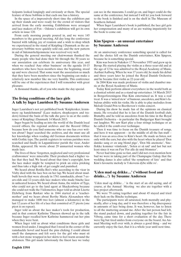ticipants looked longingly and enviously at them. The special feature of these bobbins is that each one has a history.

In the space of a impressively short time the exhibitors put up their stands and were ready for the crowd of visitors that arrived from the early morning. Exhibitions were arranged and lace makers of Fyn – Odense's exhibition will get its own article in issue 120.

From early morning people poured in, and we were 145 members to the general meeting. All day long the conference buzzed with talking, joy of reunion and a wish to shop which we experienced in the stand of Knipling i Danmark as the anniversary bobbins were quickly sold out, and the new pattern in aid of Julemærkehjemmene was received very well.

During the general meeting our chairwoman thanked the many people who had done their bit through the 30 years so our association can celebrate its anniversary this year, and when we reached 'Any other business' on the agenda 10-15 members who have been members since the beginning, stood up and were cheered. That some want the association so much that they have been members since the beginning can make a relatively new member like me very humble. This conference will be one of the experiences that I will remember with great pleasure.

A thousand thanks, all of you who made the day special.

# **The living conditions of the lace girls A talk by Inger Lauridsen By Susanne Andersen**

Inger Lauridsen's not yet published book 'Kniplersker, kræmmere og handelsmænd' (Lace makers, shopkeepers and traders) formed the basis of the talk she gave to us at the conference of Knipling i Danmark 14 March 2015.

Inger began by leading us into the world of the Danish local record offices, the regional archives and the Record Office because how do you find someone who no one has ever written about? Inger searched the archives, and she must use all her knowledge when reading old German documents written with Gothic type. The parish registers in various parishes were searched and finally in Løgumkloster parish the vicar, Ander Holm, appeared. He wrote about 29 unmarried women who made lace.

The lives of these 'forgotten, neglected and very professional craftswomen' were miserable. Their products had a higher value that they had. We heard about that time's copyright, how the lace maker might be tempted to prick an extra pricking and thus take a high risk of get caught and punished.

We heard about Botilla Boi's who according to the vicar in Visby died with the lace box on her lap. We heard about mudbuilt hovels that were already in 1761 ramshackle, about 7-years-olds and 12-years-olds lace makers who made binche lace in unheated houses. We heard about Anna, the widow of Tyge, who could not go to the land agent at Shackenborg because she could not walk the 5 kilometres. Inger told us about Lisette Dyhrberg from Rørkær who in 1844 started at a 'teachermother' and we hears about Berthe Maria Alexandsen who managed to make 1600 two feet (almost a kilometre) in the last 12 years of her life of a lace that consisted of 27 picots (one picot is on repeat).

Inger told us about the lace maker's tools for production, and in that context Kathrine Thuesen showed up in the talk because Inger recalled how Kathrine hammered out her pins when they were bent.

When Inger told us about what conditions these girls and women lived under, I imagined that I stood in the corner of the ramshackle hovel and heard the pins clicking. I could almost smell the dampness and felt sorry for the girl who must sit with a hot stone wrapped in her skirts to feel warm around the abdomen. This girl made laboriously the finest lace we today can see in the museums. I could go on, and Inger could do the same at the conference, but instead I will let you look forward to the book is finished and is on the shelf in The Museum of Southern Jutland.

When Inger Lauridsen's book is published, the lace girl gets her compensation and many of us are waiting impatiently for the book to come out.

# **Kim Sjøgren – an unusual entertainer by Susanne Andersen**

At an anniversary conference something special is called for and the choice fell on the Danish entertainer, Kim Sjøgren, because he is something special.

Kim was born in Nakskov 17 November 1955 and grew up in Byrup. He started playing the violin as a three-year-old and at the age of 12 he was admitted to the Royal Academy of Music, Aarhus/Aalborg. When he was 17 years old, he made his debut and three years later he joined the Royal Danish Orchestra and he became first violin as 22-year-old.

In 2004 Kim was made professor of violin and chamber music at the Royal Academy of Music.

Today Kim perform almost everywhere in the world both as a classical soloist and as a stand-up entertainer. 14 March 2015 in Borgerforeningens Hus Kim entertained us. It was a real treat. It was a 'mixed stew' of humour, anecdotes, and Kim's fabulous ability with his violin. He is able to play melodies from Melodi Grand Prix to Beethoven's violin concert.

During his show he made fun of the opinions on classical music. He revealed that he is fan of the Danish football club, Brøndby, and he told us anecdotes from his time in the Royal Danish Orchestra – in particular the Budgerigar Kurt brought out laughter. We saw Kurt play a four strings technique or as he called it the comb-over technique.

Then it was time to focus on the Danish treasury of songs, and here it was apparent – in the middle of all the fun stuff – that it was an area close to Kim's heart. He made us listen, not only with the ears, but also with the heart when he played 'Den danske sang er en ung blond pige', 'Den blå anemone', 'Sneflokke kommer vrimlende', 'Solen er så rød' and last but not least since it was on Fyn 'For alle de små blomster'.

Never had time gone so fast, and I did not even mention how bad we were in taking part of the Champagne Galop, that the wedding dance is also called 'the symphony of fate' and that Kim's favourite melody is 'I skovens dybe stille ro'.

# **'Uden mad og drikke…' ('without food and drinks…') by Susanne Andersen**

'Uden mad og drikke…' is the start of an old saying, and of course, at the Annual Meeting we also ate together with a lace project afterwards.

We were 79 eating together and about 45 stayed and tried their luck on the Binche technique.

The participants were all saturated, both mentally and physically, after a long day, and it was therefore a big discrepancy in amounts of lace being done. It was, however, fun to listen to all the muttering around me. After the last person had left, the stand packed down, and packing together for the fair in Viborg, came time for a short evaluation of the day. There were big but tired smiles from everyone on the board. An Annual Meeting well over with, is always a good thing – and we currently enjoy the fact, that it is a whole year until next time.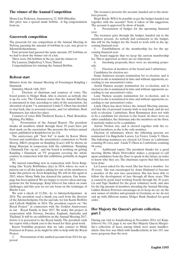# **The winner of the Annual Competition**

Mona-Lise Pedersen, Anemonevej 12, 3650 Ølstykke. Her price was a special made bobbin. A big congratulation from us.

## **Guesswork competition**

The proceeds for our competition at the Annual Meeting in Nyborg, guessing the amount of bobbins in a jar, was given to Julemærkehjemmene.

Four persons had guessed the same amount, 287 bobbins, so we had to draw the winner out of a hat.

There were 284 bobbins in the jar, and the winner is:

Pia Laursen, Døjholtvej 5, Nors, Thisted

Congratulations for winning the Annual Bobbin.

#### **Referat start**

Minutes from the Annual Meeting of Foreningen Knipling i Danmark.

Saturday, March 14th, 2015

1. Election of chairman and counters of votes: The board points to Holger Busk, who is elected, as nobody else is up for vote. The Chairman states that the Annual Meeting is announced in time according to rules of the association. An alteration of point 7 is announced: Linda V. Olsen has decided to step back, due to personal reasons., and 1st substitute, Bent Rasmussen, has taken her place.

Counters of votes: Bibi Tholstrof, Karna L. Pind, Benedicte Hjalting, Pia Miller.

2. Presentation of the Annual Report. The president thanks all members, which through these 30 years have put their mark on the association. She presents the written annual report, published in Kniplebrevet no.118.

The anniversary gift ''Sort Sol'' is made by Karen Marie Iversen and symbolizes the association's connection to North Slesvig. DK4's program on Knipling (Lace) will be shown on Køng Museum in connection with the exhibition ''Knipling i Danmark Før- og nu'', and the board is working on getting Knipling i Danmark on TV programs covering the whole country in connection with this exhibition, probably in August 2015.

We started something new in connection with Årets Knipledag (the Yearly Bobbinlace day) in 2014, where we sent a pattern out to all the leaders asking for one of the members to make this pattern on Årets Knipledag. We will do this again in 2015, where Mona Nøhr has donated the pattern. Our homepage has been updated. We are happy to receive ideas and suggestions for the homepage. Knip lebrevet has taken on some challenges, and this year we set our focus on the technique of Binche Lace.

We sent a check of 12.204,- kr. to Julemerkehjemmet in 2014. The president read a thank you card from the director of the Julemerkehjems. On the sad side, we lost Karin Hoffritz and Lisbeth Højkilde in 2014. The president reports on ''the Royal Project'' in connection with the Golden Anniversary in our Royal Family in June 2017. We make this project in cooperation with Norway, Sweden, England, Australia and Thailand. It will be on exhibition on the Annual Meeting 2017, before it is presented to the Royal family. The president ends her report with a thank you to the board for their good work.

Karen Vontillius proposes that we take contact to Micki Fouriscot in France, as he might be able to help with the Royal Project.<br>3.

Presentation of the audited account from 2014 for approval

The treasurer presents the account, handed out to the members present.

Birgit Bryde: Will it be possible to get the budget handed out together with the account? Note is taken of this suggestion. The account is approved by show of hands.

4. Presentation of budget for the upcoming financial year.

The treasurer goes through the budget, handed out to the members present. As nobody had comments to the budget, this will be the budget for the board to work with in the upcoming financial year.

5. Establishment of the membership fee for the upcoming financial year.

The board suggests that we keep the current membership fee. This is approved, as there are no objections.

6. Incoming proposals, there were no incoming proposals.

7. Election of members of the board and 2 substitutes. Candidates for election are:

Sonja Andersen accepts nomination for re-election, and is elected as she is nominated in time and without opponents, according to our association's rules.

Astrid Hansen accepts nomination for re-election, and is elected as she is nominated in time and without opponents, according to our association's rules.

Lone Nielsen accepts nomination for re-election, and is elected as she is nominated in time and without opponents, according to our association's rules.

Linda Olsen has short before the Annual Meeting announced that she of personal reasons wish to step back, and do not seek re-election. 1.substitute, Bent Rasmussen does not wish to be a candidate for election to the board. As there were no other candidates, the chairman asks the members on the floor, if anybody wishes to be a candidate.

Anette Nielsen rise, and is elected together with the reelected members, as she is the only nominee.

Election of substitutes, where the following persons are nominated: Lis Bøgeholm Larsen, Lis Vester, Linda V. Olsen. The following nominees are elected: Lis Vester as 1.substitute counting 98 votes, and Linda V. Olsen as 2.substitute counting 94 votes.

8. Additional topics: The president thanks for a good meeting. Birthe Marie Hvirvelkær makes a proposal to call upon candidates from the floor to speak in the future, in order to know who they are. The chairman regrets that this has not been done.

Lis Larsen asked for the word. She has been a member for 30 years. She was encouraged by Anna Hadsund to become a member of the new lace association. She has been able to follow the development of lace through all these years. This is caused by good, hard working boards through the 30 years. Lis and Tage thanked for the great voluntary work, and also for the big amount of members attending the Annual Meeting. Lidden Boisen Petersen encourages us to keep an eye on the new names of stitches and grounds in Germany, so we do not end up with different names. Holger Busk thanked for good order.

# **Her Majesty the Queen's private collection, part 2**

During our visit to Amalienborg in November 2014, ref. Kniplebrevet No. 118, page 4, we saw Her Majesty Queen Margrethe's collection of laces, among which were many handkerchiefs. One box was filled with handkerchiefs, in fact 107, one more gorgeous than the next.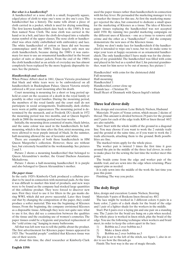#### *But what is a handkerchief?*

A handkerchief or a nose cloth is a small, frequently square, edged piece of cloth to wipe one's nose or dry one's eyes. The handkerchief has a history. The name tells about a piece of cloth carried in a pocket, which is used for drying something. The first known handkerchiefs date back to the 1500's. It was then named Nose Cloth. The nose cloth was carried in the hand or in a belt, and later the cloth developed into a valuable status symbol of the upper classes. The nose cloth or handkerchief was often richly embellished with embroidery and lace. The white handkerchief of cotton or linen did not become commonplace until the 1800's. Today largely only men use cloth handkerchiefs, because during the 1900's it was customary for men to use an ornamental handkerchief in the breast pocket of suits or dinner jackets. From the end of the 1900's the cloth handkerchief as an article of everyday use has almost completely been replaced by the more hygienic disposable tissues. See the pictures.

#### *Handkerchiefs and colours*

When Prince Albert died in 1861, Queen Victoria proclaimed that black and white tears were to be embroidered on all handkerchiefs in Buckingham Palace. Queen Victoria strictly enforced a 40 year court mourning after his death.

Court mourning is mourning for a short or long period upheld at court on the occasion of a death in the royal family or possibly in other royal families. During the mourning period, the members of the royal family and the court staff do not participate in social arrangements. Traditionally, dark clothes were worn at public appearances. The mourning period is determined by the monarch, and at Frederik IX's death in 1972 the mourning period was two months, and at Queen Ingrid's death in 2000 the mourning period was four weeks.

Initially, the mourning dress consisted of matte, black fabrics, and the same colour was used in the handkerchiefs. In halfmourning, which is the time after the first, strict mourning, you were allowed to wear purple instead of black. In the summer, half-mourning allowed the use of lavender and white.

There are examples of both these handkerchiefs in HM Queen Margrethe's collection. However, these are without lace, but extremely beautiful in the workmanship. See pictures 2 and 3.

Picture 2 shows a mourning handkerchief that belonged to Queen Alexandrine's mother, the Grand Duchess Anastasia Michailovna.

Picture 3 shows a half-mourning handkerchief. It is purple and also belonged to Queen Alexandrine's mother.

#### *The paper tissue*

In the early 1920's Kimberly-Clark produced a cellulose product to be used in connection with menstrual pads. At the time it was difficult to market this kind of products, and new ways were to be found as the company had stocked large quantities of this cellulose product. They were forced to discover new uses. First they tried to use it for filters in the gas masks during WWI, which did not prove successful. Later they found out that by changing the composition of the paper, they could produce a softer material. This was the beginning of Kleenex tissues. From the beginning, the company envisioned Kleenex as a disposable tissue. Although they were not quite sure what to use it for, they did see a connection between the qualities of the tissue and the escalating use of women's cosmetics. The paper tissues could be a hygienic and practical replacement of the "cold crème rag" hanging in many bathrooms.

All that was left now was to tell the public about the product. The first advertisement for Kleenex paper tissues appeared in 1925. The "beautiful people" confided that Kleenex tissue was one of their secrets.

At about this time, the chief researcher at Kimberly-Clark

used the paper tissues rather than handkerchiefs in connection with his hay fever. He persuaded the marketing manager to try to market the tissues for this use. At first the marketing manager rejected the idea, but consented to dedicate a small space for the marketing of Kleenex as a tissue. The idea of Kleenex paper tissues replacing the handkerchief was not accepted until 1930. By running two parallel marketing campaigns on the different uses of Kleenex – one as a tissue to remove cold crème and the other as a "handkerchief" – did the company demonstrate the new uses of the Kleenex tissue.

Today we don't make lace for handkerchiefs if the handkerchief is intended to wipe one's nose, but we do make some to wipe your tears at happy occasions or as ornamental handkerchiefs. The only handkerchief I have made was for the christening of my grandchild. The handkerchief was filled with coins and placed in his bed as a symbol that I, his paternal grandmother, want for him never to be out of money. See picture 1

Handkerchief with coins for the christened child Full mourning Half-mourning Handkerchief 1 Handkerchief, corner close up Flemish lace – Christian IV, Small Heart of Denmark with Queen Ingrid's initials

## **Three leaf clover doily**

Idea, design and execution: Lene Birkely Nielsen, Hadsund

Materials: 39 pairs of Venus cotton, which means 2 skeins of thread. This amount is divided between 29 pairs for the ground and 5 pairs for each of the edge trails. K80 or linen thread 60/2 are also suitable.

Start: Start with the whole width of the ground in a diagonal line. You may choose if you want to work the 2 outside trails and the ground at the same time, or if you want to work the 2 trails afterwards, attaching them to the ground. Both possibilities are fine.

The marked twists apply for the whole piece.

The worker pair is twisted 3 times the first time it goes around the pin in the middle of the three leaf clover, in order to make place for the sewing the last time the worker meet this point.

The braids come from the edge and worker pair of the middle trail, and are sewn into the edge when returning. Place support pins as needed.

It is only sewn into the middle of the work the last time you pass this point.

Finishing: The way you prefer.

# **The doily Birgit**

Idea, design and execution: Lonnie Nielsen, Storring

Materials: 9 pairs of Bockens linen thread no. 40/2

The lace might be worked in 3 different colors: 6 pairs in a basic color, 2 pairs of a dark shade for the braid of the edge and 1 pair of a lighter shade for the workers in the middle.

Start: Put 6 pairs over a laying pin and one pair on a standing one. The 2 pairs for the braid are hung on a pin when needed. The whole piece is worked in linen stitch, plus the braid of the edge. You use the following technique when workers and braid meet, in order to keep the colors apart in the lace:

- 1) Bobbin no.2 over bobbin no.3
- 2) Make a linen stitch
- 3) Bobbin no.2 over bobbin no.3

The pin is set to the left of the stitch, see figure 1, also in order to see how the threads go.

Finish: The best way is the use of magic threads.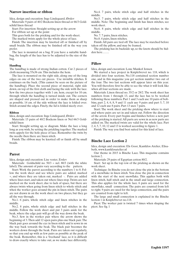## **Narrow insertion or ribbon**

Idea, design and execution: Inge Lindegaard, Ørslev

Materials: 9 pairs of 40/2 Bockens linen thread or 66/3 Goldschild linen thread

Start: For insertion: Straight setting up at the arrow

For ribbon: set up at the point

This goes both for the pricking and for the work-sheet.

The marked twists apply for the whole piece of lace.

Finish: The insertion may be knotted off or finished off by small braids. The ribbon may be finished off in the way you prefer.

The lace is mounted on a bag. If you have a suitable handbag, the length of the lace has to be adjusted to the size of the bag.

#### **Handbag**

The handbag is made of strong Indian cotton. Cut 2 pieces of cloth measuring 55x36 cm. This includes the hem.

The lace is mounted on the right side, along one of the long edges on one of the two cut pieces. Use invisible stitches. It continues on the back. (This cannot be seen on the picture of the handbag). Place the second piece of material, right side down, on top of the first cloth and facing the side with the lace. Sew the two pieces together with 1 cm. hem, except for 10 cm. through which the handbag is turned inside out. The corners are shaped and pressed out in order to make them as sharp as possible. 14 cm. of the side without the lace is folded over. Stitch around the edges. Finely, the lid is folded nicely over.

#### **Ribbon**

Idea, design and execution: Inge Lindegaard, Ørslev

Materials: 15 pairs of 40/2 Bockens linen or Nel 66/3 Goldschild linen

Start: Straight setting up, se diagram. Make the lace a long long as you wish, by setting the prickling together. The marked twits appely for the hole piece of lace. Remember the twits by the needle then there are linen stitch.

Finish: The ribbon may be knotted off or finish off by small braids.

#### **Parrot**

Idea, design and execution: Lise vester, Erslev

Materials: Goldschild no.  $50/3$  = nel. 80/3 (with the white label). The amount of pairs vary according to the pattern.

Start: Work the parrot according to the numbers 1 to 8. Follow the work sheet and see where pairs are added, marked +, and where they are taken out, marked -. Pairs are added where lines start, and taken out where lines stop. Twists are not marked on the work sheet, due to lack of space, but there are always twists when going from linen stitch to whole stitch and when the worker goes around the pin in linen stitch. The pairs are not drawn in on the work sheet on two places, but they go all the way through.

No.1. 6 pairs, whole stitch edge and linen stitches in the middle.

No.2. 8 pairs, whole stitch edge and half stitches in the middle. Follow the work sheet and put 3 pairs aside for the beak, where the edge pair will go all the way down the beak.

No.3. Sew in the worker pair where the arrow shows the beginning of 3. Then add 12 open pairs plus one black pair. The black pair goes around the eye in linen stitch and is sewn in on the way back towards the beak. The black pair becomes the workers down through the beak. Pairs are taken out regularly, so that you end up with as few pairs as possible at the peak of the beak. Remember, this is a 'freehand' lace, so it is difficult to draw exactly where to take out, as we make lace differently.

No.4. 7 pairs, whole stitch edge and half stitches in the middle.

No.5. 7 pairs, whole stitch edge and half stitches in the middle. Note: The beginning and finish has linen stitches, see work sheet.

No.6. 8 pairs, whole stitch edge and half stitches in the middle.

No. 7. 7 pairs, linen stitches.

No.8. 4 pairs, linen stitches.

Finish: All pairs are tied off. The lace may be starched before taken off the pillow, and may be framed.

The pricking has its backside up, so the knots should be hidden here…….

## **Pillow**

Idea, design and execution: Lone Mankof Jensen

We started a lace project in Kniplebrevet no. 118, which is divided into four sections. No.118 contained section number one, and in this magazine you get section number two out of the four. The two last sections will appear later on this year. You will therefore first be able to see the what it will look like when all four sections are made.

Materials: Linen thread no. 35/2 or 28/2. The work sheet has numbers from 1 through 13, and the lace has to be worked following these numbers. Part 1 and 3 each use 10 pairs of bobbins, part 2, 4, 6, 8, 9 and 11 each use 9 pairs and part 5, 7, 10 and 12 each use 8 pairs. Part 13 uses 7 pairs.

Start: The work sheet and the pricking show where to start and where pairs are set in and taken out. Follow the direction of the arrow. Every part begins and finishes before a new part of the pricking is started. All parts are sewn in as new parts are added on. The marked twists are valid for the whole lace. Part 2, 4, 5, 7, 10, 12 and 13 is worked according to figure 1.

Finish: The way you find best suited for this kind of lace.

## **Binche Lace Lection 2**

Idea, design and execution: Els Goor, Kantklos Atelier, Elisabeth, www.kantklosatelier.nl

Our theme in 2015 is Binche Lace. This magazine contains lection 2.

Materials: 29 pairs of Egyptian cotton 80/2.

Start: Set up in the top row of the pricking as shown on the work sheet.

Technique: In Binche you do not close the pin in the bottom of a snowflake in linen stitch. You close the pin in connection with the start of the next snowflake. This applies both with linen stitch, half stitch and in the small and large connection. This also applies for the whole lace. 6 pairs are used for the snowflake, small connection. The pairs are counted from left to right. 9 pairs are used for the large connection, and the pairs are counted from right to left.

The large and small connection is explained in the Binche lection 1 in Kniplebrevet no.118.

Picot: The worker pair is twisted 7 times when shaping the picot. See fig. 1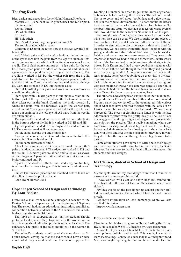# **The frog Kvæk**

Idea, design and execution: Lene Holm Hansen, Klovborg Materials:  $3 - 10$  pairs of k80 in green, black and red or pink. LS: linen stitch

ES: half stitch

DS: whole stitch

FL: braid

HS: hole stitch

Start: Start at A with 4 green pairs and use LS.

The foot is braided with 4 pairs.

Continue in LS until the letter B by the left eye. Lay the bobbins aside.

Add 2 black pairs at C and work a braid at the bottom part of the eye to B, where the pairs from the legs are taken out, except your worker pair, which will continue as workers for the eye lid. The 2 black pairs continue as edge-pairs for the eye lid. 2 more green pairs are added at the eye lid, and taken out again where the eyelid ends (before you reach C again). The eye lid is worked in LS. Put the worker pair from the eye lid aside for use for the Frog's forehead. 3 green pairs are added into the braid at C and you take up the worker from the eye lid. Work the forehead in LS. Put the pairs aside.

Start at E with 4 green pairs, and work in the same way as you did on the left leg.

Start again with 2 black pairs at F and make a braid in the bottom part of the eye. The pairs from the foot are at the same time taken out in the braid. Continue the braid towards D, where the pairs from the forehead, except the worker pair, are taken out. 2 new green pairs are added for the eye lid and taken out again as in the left eye lid. All pairs from the eye lid are taken out at F.

The eye itself is worked with 4 pairs, added on to the braid in the bottom edge of the lid. It is worked in DS, ES and HS.

4 green pairs are added for the thighs at G, and worked in LS. They are fastened at H and taken out.

Do the same, starting at I and ending at J.

3 green pairs are added at K in order to make the foot. It is worked in LS and a braid until L.

Do the same between M and N.

2 black pairs are added at O in order to work the mouth. 3 pairs are added at once at P. The edges are worked in DS and the rest in ES. 5 more pairs are added and taken out as shown on the diagram. 3 pairs are taken out at once at Q and the braid continued until R.

2 pairs of Pink/red are attached at S and a big pointed tally is worked for the frog's tongue. This is fastened and taken out at T.

Finish: The finished piece can be starched before taken off the pillow. It may be put in a frame.

Lene Holm Hansen 2014

# **Copenhagen School of Design and Technology By Lone Nielsen**

I received a mail from Susanne Guldager, a teacher at the Design School in Copenhagen, in the beginning of September. The school had, as an educational institution, established cooperation between students in the 5th semester and a bobbinlace organization in Sri Lanka.

The topic of the cooperation was that the students should go to Sri Lanka, where they, together with the woman in the organization, should develop products suitable for sale in Copenhagen. The profit of the sales should go to the woman in Sri Lanka.

The school's students would send sketches down to Sri Lanka before leaving, so that the ladies would have an idea about what they should work on. The school approached

Knipling I Danmark in order to get some knowledge about bobbinlace before making the sketches. The school's would like us to come and tell about bobbinlace and guide the students in the product development. The date should be before their trip to Sri Lanka, which would take place between November 18th and 28th. We decided that Karen Marie Iversen and I would come to the school on November 11 at 3:00 pm.

We brought lots of books, basic ones as well as books showing how lace can be used. We also brought several pieces of lace, bobbins of different kinds and different sorts of thread in order to demonstrate the difference in thickness used for lacemaking. We had some wonderful hours together with the young students. We talked about lace, how it can be used in fashion and many questions were answered. They were truly interested in what we had to tell and show them. Pictures were taken of the lace we had brought and from the designs in the books. Both Karen and I had a very good time together with them. As we left, we both thought that what they had planned, were really a big handful. A purpose was also that they would learn to make some basic bobbinlace on their visit to the laceorganization in Sri Lanka. We therefore promised to come back to the school in December in order to help them go on with lace making. However, this date was cancelled later on, as the students had learned the basic stitches only, and that was not sufficient for them to carry on making lace.

The students had arranged an exhibition of their manufactured products on Friday, December 12th, and we were invited. So, on a rainy day we set off to the opening, terribly curious about what they have archived together with the ladies in Sri Lanka. Incredible was it, what they had made! We were very impressed! The pieces of clothing were fantastic with the lace adornments together with the pretty designs. The use of lace this way, gives the design a light and elegant look, as you also can enjoy on the pictures. This is really something where any lacemaker can see possibilities. A big thank you to The Design School and their students for allowing us to show them lace, talk with them and feel the big engagement they have in what they do. It has through and through been a big pleasure to be part of.

Some of the students have agreed to write about their design and their experience with using lace in their work, for Kniplebrevet. We can look forward to hear a little more about the students and their designs.

# **Ida Clausen, student in School of Design and Technology**

My thoughts around my lace design were that I wanted to move over to a more graphic world.

I have worked with clear and sharp lines but wanted still to be truthful to the craft of lace and the classical made 'laceribbon'.

My idea was to set the lace ribbon up against another crafted material, in this case leather, which I have cut and braided myself.

Get more information on Ida's homepage, where you also can find this design:

http://www.idaclausen.com

#### **Bobbinlace experiences in class**

Class in PC bobbinlace program in 'Tråden' Allingåbro Hotel B&B, Hovedgaden 9, 8961 Allingåbro by Aage Holgersen

A couple of years ago I bought lots of bobbinlace equipment: pillows, bobbins and thread. This was it, I wanted to learn lacemaking. I contacted a nice lady in our neighborhood, Mie, who taught my daughter and me how to make lace. We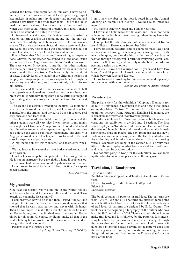learned the basics, and continued on our own. I have to admit, my experience was very limited. I met up with a group of lace makers in Århus after my daughter had moved out, and learned a few tricks of the trade from them. One of the ladies made her own designs. I have since met a few lacemakers, which with ease could transform a picture into lace. I envied them. I also wanted to be able to do that.

I discovered a while ago, that Kniplebrevet advertised a class on pattern-drawing on computer, and that the only demand was 'knowledge of bobbinlace', so I felt, this was my chance. The price was reasonable, and it was a week-end class. The week-end drew nearer and I was getting more excited, but would I be able to learn it? I just had to wait and see.

Finely, November 22nd came, and I met with great expectations. Gunver, the inn keeper, welcomed us at the door. Inside we got seated, and Aage introduced himself with a few words. The class was on. It occurred to me that the other students had made patterns by hand and attended this class in order to learn to make them electronic. Ouch, suddenly I felt a bit out of place. I barely knew the names of the different stitches, but happily, with Aage as guide, this was no problem. He taught in a way easy to understand, and I was certainly able to follow his lecture.

Time flew, and the end of the day came. Linen stitch, half stitch, passives and workers turned around in my head, my brain was filled with new things that had to settle over night. It was exciting, it was inspiring and I could not wait for the next day.

The second day certainly lived up to the first! We built on to what we had learned the day before, and I captured how lace is made, both the straight and the curved ones. It seemed real easy once one had learned it.

The class was in addition held in nice, light rooms and the other students were all very nice. I went home to my family over night, as I live near Allingåbro, but I could understand that the other students, which spent the night in the inn, also had enjoyed the class. I can really recommend this class with Aage, an unusual patient teacher, and look forward to the next class for experienced participants.

A big thank you for this wonderful and instructive weekend.

We had learned how to make a lace, both curved, round, oval and a corner.

Our teacher was capable and patient. He had brought Arne. He is not an instructor, but gave gladly a hand if problems occurred. Arne had the same amount of patience as our teacher.

I am looking forward to the next class, this time for experienced students.

*Tova Andersen*

# **My grandson**

Nine-year-old Gustav, was visiting me in the winter holiday and he was a bit bored. He saw my pillow and then said: 'How exactly do you make lace, granny?'

I demonstrated how to do it and then I asked if he felt like trying? He did and he began with some small samples that showed that he was a fast learner and clever with his hands. Then he continued to make the eternelle, and later he made an Easter bunny, and the finished result became an Easter pillow for his room. Of course, he did not make all that in the winter holiday but we worked on the lace several times and we thought the result was good.

Perhaps that will inspire others.

*Ingeborg Dokter, Thorsvej 37, 8680 Ry*

#### **Hello.**

I am a new member of the board, voted in on the Annual Meeting on March 14.in Nyborg. I would like to introduce myself.

My name is Anette Nielsen and I am 45 years old.

I have made bobbinlace for 10 years, and I have not been able to put the bobbins down since I got them in my hands for the very first time.

I completed the education as bobbinlace teacher at Karen trend Nissen in Horsens, in September 2014.

I love to design patterns (and of course to make lace), and am constantly burning for teaching and learning more. Both new techniques, but also the history, the use of lace, lace in fashion through history, well, I burn for everything within lace.

And I will of course, work actively on the board in order to pass my passion on to others.

Privately, I have been married for 16 years, and have two boys, 16 and 18 years old. I work in retail, and live in a little village between Ribe and Esbjerg.

I look forward to working for our association and especially to the contact with all our members.

*Bobbinlace greetings, Anette Nielsen*

#### **Private view**

The private view for the exhibition ''Knipling i Danmark før og nu'' (''Bobbinlace in Denmark then and now'') took place on Sunday, March 29 from 2 to 4 pm. The exhibition is a cooperation between Køng Museum, Knipling i Danmark, the lacemakers in Ørslev and Storstrømskniplerne.

Besides a table set for Easter with several bobbonlace decorations, the exhibition is divided into 2 sections. The first room displays the 'traditional', like some old lace, an old Tønderskrin, old bone bobbins and thread, and some nice boards showing old museum pieces. The next room displays the 'new'. Bobbinlace used in new ways, where the lace fits into decorations, clothing and interior embellishment. Boards showing various lacepieces are hung in the cafeteria. It is a very nice little exhibition, displaying what lace was used for in old times, and what it can be used for today.

Do not miss going to Køng for this exhibition. You can look up the advertisement someplace else in this magazine.

#### **Tischkultur, 14 Bandspitzen**

By Erika Günter

Publisher: Verein Klöppeln und Textile Spitzenkunst in Österreich.

Order it by writing to edith.braunecker@gmx.at Price: €18

Language: German

The book contains 14 patterns in trail lace. The patterns are from 1940 to 1962 and all 14 patterns are different tablecloths in which either trail lace is part of it or the cloth is made only of trail lace. All patterns are designed by Erika Günter. The book has in the beginning a biography of the author who was born in 1911 and died in 2008. Then a chapter about how to make trail lace, and it is followed by the patterns. It is interesting how little the patterns and thus the lace change through the years that are focused on in the book. Unfortunately it might be a bit boring because several of the patterns consist of the same geometric figures, but it is still interesting that some things did not go out of fashion in the 22 years that form the basis of the book.